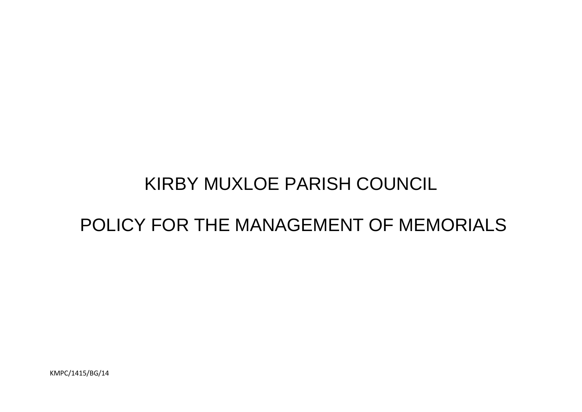# KIRBY MUXLOE PARISH COUNCIL

## POLICY FOR THE MANAGEMENT OF MEMORIALS

KMPC/1415/BG/14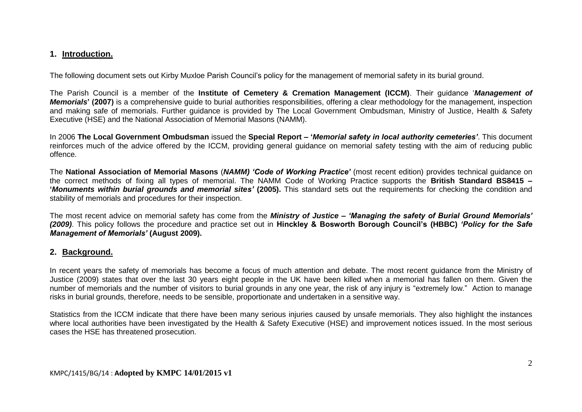#### **1. Introduction.**

The following document sets out Kirby Muxloe Parish Council's policy for the management of memorial safety in its burial ground.

The Parish Council is a member of the **Institute of Cemetery & Cremation Management (ICCM)**. Their guidance '*Management of Memorials*<sup>'</sup> (2007) is a comprehensive guide to burial authorities responsibilities, offering a clear methodology for the management, inspection and making safe of memorials. Further guidance is provided by The Local Government Ombudsman, Ministry of Justice, Health & Safety Executive (HSE) and the National Association of Memorial Masons (NAMM).

In 2006 **The Local Government Ombudsman** issued the **Special Report – '***Memorial safety in local authority cemeteries'*. This document reinforces much of the advice offered by the ICCM, providing general guidance on memorial safety testing with the aim of reducing public offence.

The **National Association of Memorial Masons** (*NAMM) 'Code of Working Practice'* (most recent edition) provides technical guidance on the correct methods of fixing all types of memorial. The NAMM Code of Working Practice supports the **British Standard BS8415 – '***Monuments within burial grounds and memorial sites'* **(2005).** This standard sets out the requirements for checking the condition and stability of memorials and procedures for their inspection.

The most recent advice on memorial safety has come from the *Ministry of Justice – 'Managing the safety of Burial Ground Memorials' (2009)*. This policy follows the procedure and practice set out in **Hinckley & Bosworth Borough Council's (HBBC)** *'Policy for the Safe Management of Memorials'* **(August 2009).**

#### **2. Background.**

In recent years the safety of memorials has become a focus of much attention and debate. The most recent guidance from the Ministry of Justice (2009) states that over the last 30 years eight people in the UK have been killed when a memorial has fallen on them. Given the number of memorials and the number of visitors to burial grounds in any one year, the risk of any injury is "extremely low." Action to manage risks in burial grounds, therefore, needs to be sensible, proportionate and undertaken in a sensitive way.

Statistics from the ICCM indicate that there have been many serious injuries caused by unsafe memorials. They also highlight the instances where local authorities have been investigated by the Health & Safety Executive (HSE) and improvement notices issued. In the most serious cases the HSE has threatened prosecution.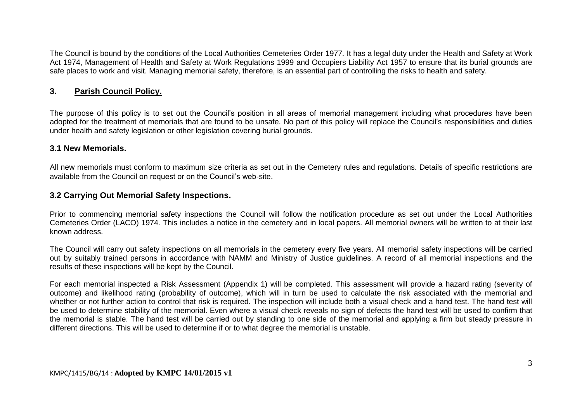The Council is bound by the conditions of the Local Authorities Cemeteries Order 1977. It has a legal duty under the Health and Safety at Work Act 1974, Management of Health and Safety at Work Regulations 1999 and Occupiers Liability Act 1957 to ensure that its burial grounds are safe places to work and visit. Managing memorial safety, therefore, is an essential part of controlling the risks to health and safety.

#### **3. Parish Council Policy.**

The purpose of this policy is to set out the Council's position in all areas of memorial management including what procedures have been adopted for the treatment of memorials that are found to be unsafe. No part of this policy will replace the Council's responsibilities and duties under health and safety legislation or other legislation covering burial grounds.

#### **3.1 New Memorials.**

All new memorials must conform to maximum size criteria as set out in the Cemetery rules and regulations. Details of specific restrictions are available from the Council on request or on the Council's web-site.

#### **3.2 Carrying Out Memorial Safety Inspections.**

Prior to commencing memorial safety inspections the Council will follow the notification procedure as set out under the Local Authorities Cemeteries Order (LACO) 1974. This includes a notice in the cemetery and in local papers. All memorial owners will be written to at their last known address.

The Council will carry out safety inspections on all memorials in the cemetery every five years. All memorial safety inspections will be carried out by suitably trained persons in accordance with NAMM and Ministry of Justice guidelines. A record of all memorial inspections and the results of these inspections will be kept by the Council.

For each memorial inspected a Risk Assessment (Appendix 1) will be completed. This assessment will provide a hazard rating (severity of outcome) and likelihood rating (probability of outcome), which will in turn be used to calculate the risk associated with the memorial and whether or not further action to control that risk is required. The inspection will include both a visual check and a hand test. The hand test will be used to determine stability of the memorial. Even where a visual check reveals no sign of defects the hand test will be used to confirm that the memorial is stable. The hand test will be carried out by standing to one side of the memorial and applying a firm but steady pressure in different directions. This will be used to determine if or to what degree the memorial is unstable.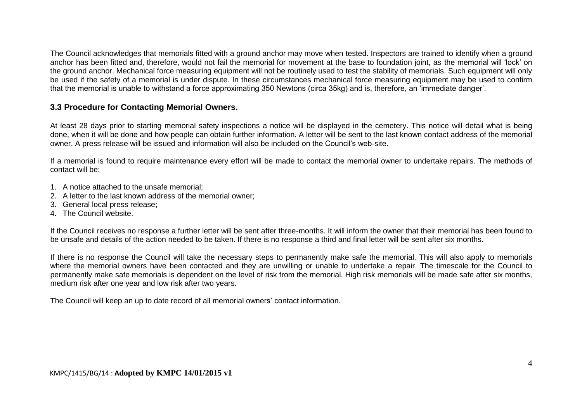The Council acknowledges that memorials fitted with a ground anchor may move when tested. Inspectors are trained to identify when a ground anchor has been fitted and, therefore, would not fail the memorial for movement at the base to foundation joint, as the memorial will 'lock' on the ground anchor. Mechanical force measuring equipment will not be routinely used to test the stability of memorials. Such equipment will only be used if the safety of a memorial is under dispute. In these circumstances mechanical force measuring equipment may be used to confirm that the memorial is unable to withstand a force approximating 350 Newtons (circa 35kg) and is, therefore, an 'immediate danger'.

#### **3.3 Procedure for Contacting Memorial Owners.**

At least 28 days prior to starting memorial safety inspections a notice will be displayed in the cemetery. This notice will detail what is being done, when it will be done and how people can obtain further information. A letter will be sent to the last known contact address of the memorial owner. A press release will be issued and information will also be included on the Council's web-site.

If a memorial is found to require maintenance every effort will be made to contact the memorial owner to undertake repairs. The methods of contact will be:

- 1. A notice attached to the unsafe memorial;
- 2. A letter to the last known address of the memorial owner;
- 3. General local press release;
- 4. The Council website.

If the Council receives no response a further letter will be sent after three-months. It will inform the owner that their memorial has been found to be unsafe and details of the action needed to be taken. If there is no response a third and final letter will be sent after six months.

If there is no response the Council will take the necessary steps to permanently make safe the memorial. This will also apply to memorials where the memorial owners have been contacted and they are unwilling or unable to undertake a repair. The timescale for the Council to permanently make safe memorials is dependent on the level of risk from the memorial. High risk memorials will be made safe after six months, medium risk after one year and low risk after two years.

The Council will keep an up to date record of all memorial owners' contact information.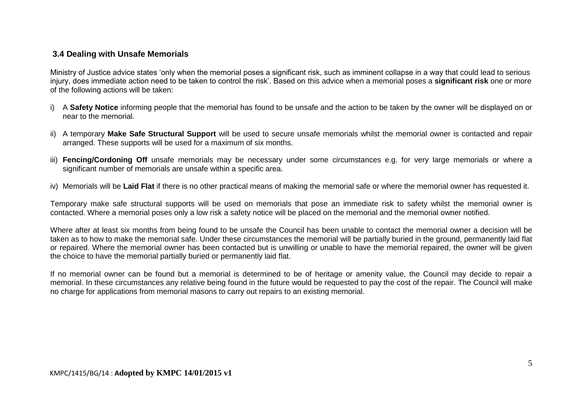#### **3.4 Dealing with Unsafe Memorials**

Ministry of Justice advice states 'only when the memorial poses a significant risk, such as imminent collapse in a way that could lead to serious injury, does immediate action need to be taken to control the risk'. Based on this advice when a memorial poses a **significant risk** one or more of the following actions will be taken:

- i) A **Safety Notice** informing people that the memorial has found to be unsafe and the action to be taken by the owner will be displayed on or near to the memorial.
- ii) A temporary **Make Safe Structural Support** will be used to secure unsafe memorials whilst the memorial owner is contacted and repair arranged. These supports will be used for a maximum of six months.
- iii) **Fencing/Cordoning Off** unsafe memorials may be necessary under some circumstances e.g. for very large memorials or where a significant number of memorials are unsafe within a specific area.
- iv) Memorials will be **Laid Flat** if there is no other practical means of making the memorial safe or where the memorial owner has requested it.

Temporary make safe structural supports will be used on memorials that pose an immediate risk to safety whilst the memorial owner is contacted. Where a memorial poses only a low risk a safety notice will be placed on the memorial and the memorial owner notified.

Where after at least six months from being found to be unsafe the Council has been unable to contact the memorial owner a decision will be taken as to how to make the memorial safe. Under these circumstances the memorial will be partially buried in the ground, permanently laid flat or repaired. Where the memorial owner has been contacted but is unwilling or unable to have the memorial repaired, the owner will be given the choice to have the memorial partially buried or permanently laid flat.

If no memorial owner can be found but a memorial is determined to be of heritage or amenity value, the Council may decide to repair a memorial. In these circumstances any relative being found in the future would be requested to pay the cost of the repair. The Council will make no charge for applications from memorial masons to carry out repairs to an existing memorial.